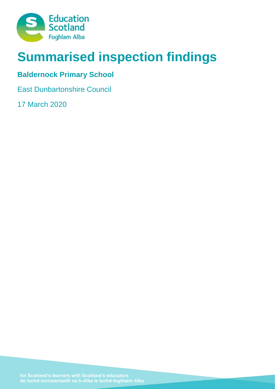

# **Summarised inspection findings**

# **Baldernock Primary School**

East Dunbartonshire Council

17 March 2020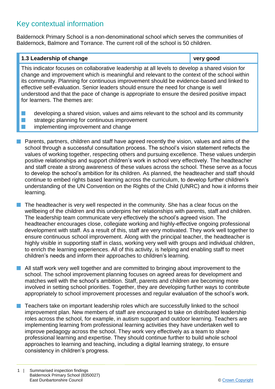## Key contextual information

Baldernock Primary School is a non-denominational school which serves the communities of Baldernock, Balmore and Torrance. The current roll of the school is 50 children.

## **1.3 Leadership of change very good** This indicator focuses on collaborative leadership at all levels to develop a shared vision for change and improvement which is meaningful and relevant to the context of the school within its community. Planning for continuous improvement should be evidence-based and linked to effective self-evaluation. Senior leaders should ensure the need for change is well understood and that the pace of change is appropriate to ensure the desired positive impact for learners. The themes are:  $\blacksquare$  developing a shared vision, values and aims relevant to the school and its community  $\blacksquare$  strategic planning for continuous improvement

- implementing improvement and change
- $\blacksquare$  Parents, partners, children and staff have agreed recently the vision, values and aims of the school through a successful consultation process. The school's vision statement reflects the values of working together, respecting others and pursuing excellence. These values underpin positive relationships and support children's work in school very effectively. The headteacher and staff create a strong awareness of these values across the school. These serve as a focus to develop the school's ambition for its children. As planned, the headteacher and staff should continue to embed rights based learning across the curriculum, to develop further children's understanding of the UN Convention on the Rights of the Child (UNRC) and how it informs their learning.
	- The headteacher is very well respected in the community. She has a clear focus on the wellbeing of the children and this underpins her relationships with parents, staff and children. The leadership team communicate very effectively the school's agreed vision. The headteacher encourages close, collegiate working and highly-effective ongoing professional development with staff. As a result of this, staff are very motivated. They work well together to ensure continuous school improvement. Along with the principal teacher, the headteacher is highly visible in supporting staff in class, working very well with groups and individual children, to enrich the learning experiences. All of this activity, is helping and enabling staff to meet children's needs and inform their approaches to children's learning.
- $\blacksquare$  All staff work very well together and are committed to bringing about improvement to the school. The school improvement planning focuses on agreed areas for development and matches well with the school's ambition. Staff, parents and children are becoming more involved in setting school priorities. Together, they are developing further ways to contribute appropriately to school improvement processes and regular evaluation of the school's work.
- $\blacksquare$  Teachers take on important leadership roles which are successfully linked to the school improvement plan. New members of staff are encouraged to take on distributed leadership roles across the school, for example, in autism support and outdoor learning. Teachers are implementing learning from professional learning activities they have undertaken well to improve pedagogy across the school. They work very effectively as a team to share professional learning and expertise. They should continue further to build whole school approaches to learning and teaching, including a digital learning strategy, to ensure consistency in children's progress.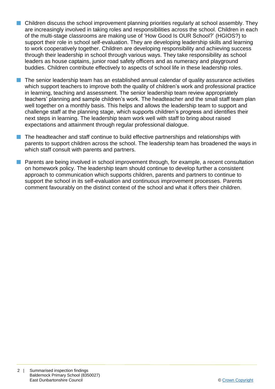- $\blacksquare$  Children discuss the school improvement planning priorities regularly at school assembly. They are increasingly involved in taking roles and responsibilities across the school. Children in each of the multi-stage classrooms are making use of 'How Good Is OUR School?' (HGIOS?) to support their role in school self-evaluation. They are developing leadership skills and learning to work cooperatively together. Children are developing responsibility and achieving success through their leadership in school through various ways. They take responsibility as school leaders as house captains, junior road safety officers and as numeracy and playground buddies. Children contribute effectively to aspects of school life in these leadership roles.
- n The senior leadership team has an established annual calendar of quality assurance activities which support teachers to improve both the quality of children's work and professional practice in learning, teaching and assessment. The senior leadership team review appropriately teachers' planning and sample children's work. The headteacher and the small staff team plan well together on a monthly basis. This helps and allows the leadership team to support and challenge staff at the planning stage, which supports children's progress and identifies their next steps in learning. The leadership team work well with staff to bring about raised expectations and attainment through regular professional dialogue.
- $\blacksquare$  The headteacher and staff continue to build effective partnerships and relationships with parents to support children across the school. The leadership team has broadened the ways in which staff consult with parents and partners.
- n Parents are being involved in school improvement through, for example, a recent consultation on homework policy. The leadership team should continue to develop further a consistent approach to communication which supports children, parents and partners to continue to support the school in its self-evaluation and continuous improvement processes. Parents comment favourably on the distinct context of the school and what it offers their children.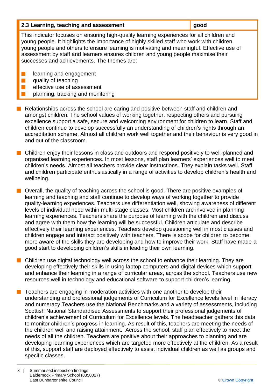| 2.3 Learning, teaching and assessment | <b>µ</b> good |
|---------------------------------------|---------------|
|---------------------------------------|---------------|

This indicator focuses on ensuring high-quality learning experiences for all children and young people. It highlights the importance of highly skilled staff who work with children, young people and others to ensure learning is motivating and meaningful. Effective use of assessment by staff and learners ensures children and young people maximise their successes and achievements. The themes are:

- $\blacksquare$  learning and engagement
- $\blacksquare$  quality of teaching
- effective use of assessment
- planning, tracking and monitoring
- $\blacksquare$  Relationships across the school are caring and positive between staff and children and amongst children. The school values of working together, respecting others and pursuing excellence support a safe, secure and welcoming environment for children to learn. Staff and children continue to develop successfully an understanding of children's rights through an accreditation scheme. Almost all children work well together and their behaviour is very good in and out of the classroom.
- **n** Children enjoy their lessons in class and outdoors and respond positively to well-planned and organised learning experiences. In most lessons, staff plan learners' experiences well to meet children's needs. Almost all teachers provide clear instructions. They explain tasks well. Staff and children participate enthusiastically in a range of activities to develop children's health and wellbeing.

 $\blacksquare$  Overall, the quality of teaching across the school is good. There are positive examples of learning and teaching and staff continue to develop ways of working together to provide quality-learning experiences. Teachers use differentiation well, showing awareness of different levels of individual need within multi-stage classes. Most children are involved in planning learning experiences. Teachers share the purpose of learning with the children and discuss and agree with them how the learning will be successful. Children articulate and describe effectively their learning experiences. Teachers develop questioning well in most classes and children engage and interact positively with teachers. There is scope for children to become more aware of the skills they are developing and how to improve their work. Staff have made a good start to developing children's skills in leading their own learning.

- Children use digital technology well across the school to enhance their learning. They are developing effectively their skills in using laptop computers and digital devices which support and enhance their learning in a range of curricular areas, across the school. Teachers use new resources well in technology and educational software to support children's learning.
- n Teachers are engaging in moderation activities with one another to develop their understanding and professional judgements of Curriculum for Excellence levels level in literacy and numeracy.Teachers use the National Benchmarks and a variety of assessments, including Scottish National Standardised Assessments to support their professional judgements of children's achievement of Curriculum for Excellence levels. The headteacher gathers this data to monitor children's progress in learning. As result of this, teachers are meeting the needs of the children well and raising attainment. Across the school, staff plan effectively to meet the needs of all the children. Teachers are positive about their approaches to planning and are developing learning experiences which are targeted more effectively at the children. As a result of this, support staff are deployed effectively to assist individual children as well as groups and specific classes.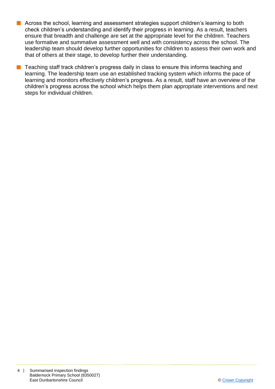- **n** Across the school, learning and assessment strategies support children's learning to both check children's understanding and identify their progress in learning. As a result, teachers ensure that breadth and challenge are set at the appropriate level for the children. Teachers use formative and summative assessment well and with consistency across the school. The leadership team should develop further opportunities for children to assess their own work and that of others at their stage, to develop further their understanding.
- $\blacksquare$  Teaching staff track children's progress daily in class to ensure this informs teaching and learning. The leadership team use an established tracking system which informs the pace of learning and monitors effectively children's progress. As a result, staff have an overview of the children's progress across the school which helps them plan appropriate interventions and next steps for individual children.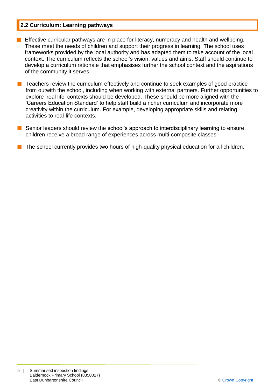#### **2.2 Curriculum: Learning pathways**

- **n** Effective curricular pathways are in place for literacy, numeracy and health and wellbeing. These meet the needs of children and support their progress in learning. The school uses frameworks provided by the local authority and has adapted them to take account of the local context. The curriculum reflects the school's vision, values and aims. Staff should continue to develop a curriculum rationale that emphasises further the school context and the aspirations of the community it serves.
- $\blacksquare$  Teachers review the curriculum effectively and continue to seek examples of good practice from outwith the school, including when working with external partners. Further opportunities to explore 'real life' contexts should be developed. These should be more aligned with the 'Careers Education Standard' to help staff build a richer curriculum and incorporate more creativity within the curriculum. For example, developing appropriate skills and relating activities to real-life contexts.
- $\blacksquare$  Senior leaders should review the school's approach to interdisciplinary learning to ensure children receive a broad range of experiences across multi-composite classes.

The school currently provides two hours of high-quality physical education for all children.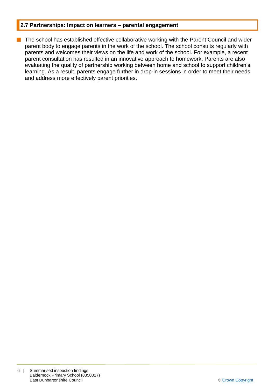#### **2.7 Partnerships: Impact on learners – parental engagement**

**n** The school has established effective collaborative working with the Parent Council and wider parent body to engage parents in the work of the school. The school consults regularly with parents and welcomes their views on the life and work of the school. For example, a recent parent consultation has resulted in an innovative approach to homework. Parents are also evaluating the quality of partnership working between home and school to support children's learning. As a result, parents engage further in drop-in sessions in order to meet their needs and address more effectively parent priorities.

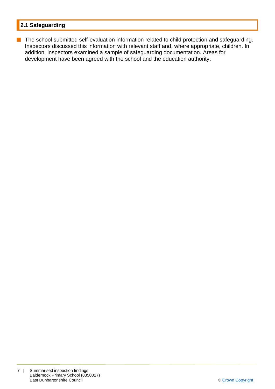### **2.1 Safeguarding**

**n** The school submitted self-evaluation information related to child protection and safeguarding. Inspectors discussed this information with relevant staff and, where appropriate, children. In addition, inspectors examined a sample of safeguarding documentation. Areas for development have been agreed with the school and the education authority.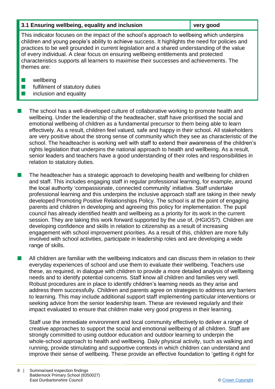#### **3.1 Ensuring wellbeing, equality and inclusion very good**

This indicator focuses on the impact of the school's approach to wellbeing which underpins children and young people's ability to achieve success. It highlights the need for policies and practices to be well grounded in current legislation and a shared understanding of the value of every individual. A clear focus on ensuring wellbeing entitlements and protected characteristics supports all learners to maximise their successes and achievements. The themes are:

- $\blacksquare$  wellbeing
- $\blacksquare$  fulfilment of statutory duties
- $\blacksquare$  inclusion and equality

The school has a well-developed culture of collaborative working to promote health and wellbeing. Under the leadership of the headteacher, staff have prioritised the social and emotional wellbeing of children as a fundamental precursor to them being able to learn effectively. As a result, children feel valued, safe and happy in their school. All stakeholders are very positive about the strong sense of community which they see as characteristic of the school. The headteacher is working well with staff to extend their awareness of the children's rights legislation that underpins the national approach to health and wellbeing. As a result, senior leaders and teachers have a good understanding of their roles and responsibilities in relation to statutory duties.

The headteacher has a strategic approach to developing health and wellbeing for children and staff. This includes engaging staff in regular professional learning, for example, around the local authority 'compassionate, connected community' initiative. Staff undertake professional learning and this underpins the inclusive approach staff are taking in their newly developed Promoting Positive Relationships Policy. The school is at the point of engaging parents and children in developing and agreeing this policy for implementation. The pupil council has already identified health and wellbeing as a priority for its work in the current session. They are taking this work forward supported by the use of, (HGIOS?). Children are developing confidence and skills in relation to citizenship as a result of increasing engagement with school improvement priorities. As a result of this, children are more fully involved with school activities, participate in leadership roles and are developing a wide range of skills.

 $\blacksquare$  All children are familiar with the wellbeing indicators and can discuss them in relation to their everyday experiences of school and use them to evaluate their wellbeing. Teachers use these, as required, in dialogue with children to provide a more detailed analysis of wellbeing needs and to identify potential concerns. Staff know all children and families very well. Robust procedures are in place to identify children's learning needs as they arise and address them successfully. Children and parents agree on strategies to address any barriers to learning. This may include additional support staff implementing particular interventions or seeking advice from the senior leadership team. These are reviewed regularly and their impact evaluated to ensure that children make very good progress in their learning.

Staff use the immediate environment and local community effectively to deliver a range of creative approaches to support the social and emotional wellbeing of all children. Staff are strongly committed to using outdoor education and outdoor learning to underpin the whole-school approach to health and wellbeing. Daily physical activity, such as walking and running, provide stimulating and supportive contexts in which children can understand and improve their sense of wellbeing. These provide an effective foundation to 'getting it right for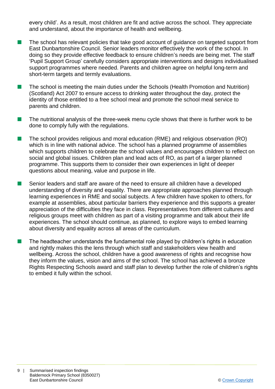every child'. As a result, most children are fit and active across the school. They appreciate and understand, about the importance of health and wellbeing.

- $\blacksquare$  The school has relevant policies that take good account of guidance on targeted support from East Dunbartonshire Council. Senior leaders monitor effectively the work of the school. In doing so they provide effective feedback to ensure children's needs are being met. The staff 'Pupil Support Group' carefully considers appropriate interventions and designs individualised support programmes where needed. Parents and children agree on helpful long-term and short-term targets and termly evaluations.
- **n** The school is meeting the main duties under the Schools (Health Promotion and Nutrition) (Scotland) Act 2007 to ensure access to drinking water throughout the day, protect the identity of those entitled to a free school meal and promote the school meal service to parents and children.
- $\blacksquare$  The nutritional analysis of the three-week menu cycle shows that there is further work to be done to comply fully with the regulations.
- $\blacksquare$  The school provides religious and moral education (RME) and religious observation (RO) which is in line with national advice. The school has a planned programme of assemblies which supports children to celebrate the school values and encourages children to reflect on social and global issues. Children plan and lead acts of RO, as part of a larger planned programme. This supports them to consider their own experiences in light of deeper questions about meaning, value and purpose in life.
- Senior leaders and staff are aware of the need to ensure all children have a developed understanding of diversity and equality. There are appropriate approaches planned through learning experiences in RME and social subjects. A few children have spoken to others, for example at assemblies, about particular barriers they experience and this supports a greater appreciation of the difficulties they face in class. Representatives from different cultures and religious groups meet with children as part of a visiting programme and talk about their life experiences. The school should continue, as planned, to explore ways to embed learning about diversity and equality across all areas of the curriculum.
- n The headteacher understands the fundamental role played by children's rights in education and rightly makes this the lens through which staff and stakeholders view health and wellbeing. Across the school, children have a good awareness of rights and recognise how they inform the values, vision and aims of the school. The school has achieved a bronze Rights Respecting Schools award and staff plan to develop further the role of children's rights to embed it fully within the school.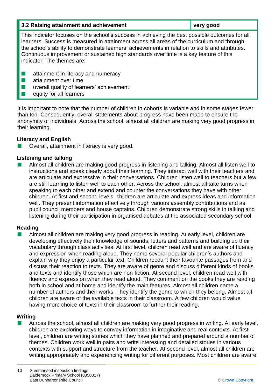| 3.2 Raising attainment and achievement                                                                                                                                                                                                                                                                                                                                                                                  | very good |  |
|-------------------------------------------------------------------------------------------------------------------------------------------------------------------------------------------------------------------------------------------------------------------------------------------------------------------------------------------------------------------------------------------------------------------------|-----------|--|
| This indicator focuses on the school's success in achieving the best possible outcomes for all<br>learners. Success is measured in attainment across all areas of the curriculum and through<br>the school's ability to demonstrate learners' achievements in relation to skills and attributes.<br>Continuous improvement or sustained high standards over time is a key feature of this<br>indicator. The themes are: |           |  |
| attainment in literacy and numeracy<br>attainment over time<br>overall quality of learners' achievement<br>equity for all learners                                                                                                                                                                                                                                                                                      |           |  |

It is important to note that the number of children in cohorts is variable and in some stages fewer than ten. Consequently, overall statements about progress have been made to ensure the anonymity of individuals. Across the school, almost all children are making very good progress in their learning.

#### **Literacy and English**

Overall, attainment in literacy is very good.

#### **Listening and talking**

n Almost all children are making good progress in listening and talking. Almost all listen well to instructions and speak clearly about their learning. They interact well with their teachers and are articulate and expressive in their conversations. Children listen well to teachers but a few are still learning to listen well to each other. Across the school, almost all take turns when speaking to each other and extend and counter the conversations they have with other children. At first and second levels, children are articulate and express ideas and information well. They present information effectively through various assembly contributions and as pupil council members and house captains. Children demonstrate strong skills in talking and listening during their participation in organised debates at the associated secondary school.

#### **Reading**

Almost all children are making very good progress in reading. At early level, children are developing effectively their knowledge of sounds, letters and patterns and building up their vocabulary through class activities. At first level, children read well and are aware of fluency and expression when reading aloud. They name several popular children's authors and explain why they enjoy a particular text. Children recount their favourite passages from and discuss their reaction to texts. They are aware of genre and discuss different kinds of books and texts and identify those which are non-fiction. At second level, children read well with fluency and expression when they read aloud. They comment on the books they are reading both in school and at home and identify the main features. Almost all children name a number of authors and their works. They identify the genre to which they belong. Almost all children are aware of the available texts in their classroom. A few children would value having more choice of texts in their classroom to further their reading.

#### **Writing**

Across the school, almost all children are making very good progress in writing. At early level, children are exploring ways to convey information in imaginative and real contexts. At first level, children are writing stories which they have planned and prepared around a number of themes. Children work well in pairs and write interesting and detailed stories in various contexts with support and structure from the teacher. At second level, almost all children are writing appropriately and experiencing writing for different purposes. Most children are aware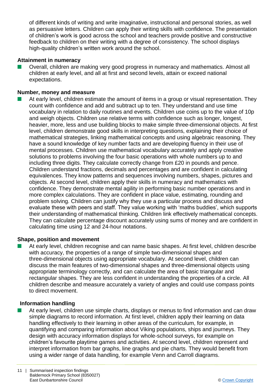of different kinds of writing and write imaginative, instructional and personal stories, as well as persuasive letters. Children can apply their writing skills with confidence. The presentation of children's work is good across the school and teachers provide positive and constructive feedback to children on their writing with a degree of consistency. The school displays high-quality children's written work around the school.

#### **Attainment in numeracy**

n Overall, children are making very good progress in numeracy and mathematics. Almost all children at early level, and all at first and second levels, attain or exceed national expectations.

#### **Number, money and measure**

At early level, children estimate the amount of items in a group or visual representation. They count with confidence and add and subtract up to ten. They understand and use time vocabulary in relation to daily routines and events. Children use coins up to the value of 10p and weigh objects. Children use relative terms with confidence such as longer, longest, heavier, more, less and use building blocks to make simple three-dimensional objects. At first level, children demonstrate good skills in interpreting questions, explaining their choice of mathematical strategies, linking mathematical concepts and using algebraic reasoning. They have a sound knowledge of key number facts and are developing fluency in their use of mental processes. Children use mathematical vocabulary accurately and apply creative solutions to problems involving the four basic operations with whole numbers up to and including three digits. They calculate correctly change from £20 in pounds and pence. Children understand fractions, decimals and percentages and are confident in calculating equivalences. They know patterns and sequences involving numbers, shapes, pictures and objects. At second level, children apply their skills in numeracy and mathematics with confidence. They demonstrate mental agility in performing basic number operations and in more complex calculations. They are confident in place value, estimating, rounding and problem solving. Children can justify why they use a particular process and discuss and evaluate these with peers and staff. They value working with 'maths buddies', which supports their understanding of mathematical thinking. Children link effectively mathematical concepts. They can calculate percentage discount accurately using sums of money and are confident in calculating time using 12 and 24-hour notations.

#### **Shape, position and movement**

At early level, children recognise and can name basic shapes. At first level, children describe with accuracy, the properties of a range of simple two-dimensional shapes and three-dimensional objects using appropriate vocabulary. At second level, children can discuss the main features of two-dimensional shapes and three-dimensional objects using appropriate terminology correctly, and can calculate the area of basic triangular and rectangular shapes. They are less confident in understanding the properties of a circle. All children describe and measure accurately a variety of angles and could use compass points to direct movement.

#### **Information handling**

 $\blacksquare$  At early level, children use simple charts, displays or menus to find information and can draw simple diagrams to record information. At first level, children apply their learning on data handling effectively to their learning in other areas of the curriculum, for example, in quantifying and comparing information about Viking populations, ships and journeys. They design with accuracy information displays for whole-school surveys, for example on children's favourite playtime games and activities. At second level, children represent and interpret information from bar graphs, line graphs and pie charts. They would benefit from using a wider range of data handling, for example Venn and Carroll diagrams.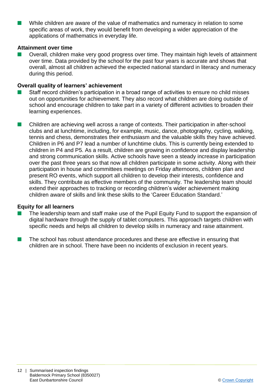While children are aware of the value of mathematics and numeracy in relation to some specific areas of work, they would benefit from developing a wider appreciation of the applications of mathematics in everyday life.

#### **Attainment over time**

Overall, children make very good progress over time. They maintain high levels of attainment over time. Data provided by the school for the past four years is accurate and shows that overall, almost all children achieved the expected national standard in literacy and numeracy during this period.

#### **Overall quality of learners' achievement**

- Staff record children's participation in a broad range of activities to ensure no child misses out on opportunities for achievement. They also record what children are doing outside of school and encourage children to take part in a variety of different activities to broaden their learning experiences.
- Children are achieving well across a range of contexts. Their participation in after-school clubs and at lunchtime, including, for example, music, dance, photography, cycling, walking, tennis and chess, demonstrates their enthusiasm and the valuable skills they have achieved. Children in P6 and P7 lead a number of lunchtime clubs. This is currently being extended to children in P4 and P5. As a result, children are growing in confidence and display leadership and strong communication skills. Active schools have seen a steady increase in participation over the past three years so that now all children participate in some activity. Along with their participation in house and committees meetings on Friday afternoons, children plan and present RO events, which support all children to develop their interests, confidence and skills. They contribute as effective members of the community. The leadership team should extend their approaches to tracking or recording children's wider achievement making children aware of skills and link these skills to the 'Career Education Standard.'

#### **Equity for all learners**

- The leadership team and staff make use of the Pupil Equity Fund to support the expansion of digital hardware through the supply of tablet computers. This approach targets children with specific needs and helps all children to develop skills in numeracy and raise attainment.
- $\blacksquare$  The school has robust attendance procedures and these are effective in ensuring that children are in school. There have been no incidents of exclusion in recent years.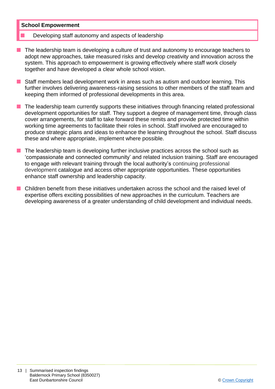#### **School Empowerment**

- Developing staff autonomy and aspects of leadership
- $\blacksquare$  The leadership team is developing a culture of trust and autonomy to encourage teachers to adopt new approaches, take measured risks and develop creativity and innovation across the system. This approach to empowerment is growing effectively where staff work closely together and have developed a clear whole school vision.
- **n** Staff members lead development work in areas such as autism and outdoor learning. This further involves delivering awareness-raising sessions to other members of the staff team and keeping them informed of professional developments in this area.
- $\blacksquare$  The leadership team currently supports these initiatives through financing related professional development opportunities for staff. They support a degree of management time, through class cover arrangements, for staff to take forward these remits and provide protected time within working time agreements to facilitate their roles in school. Staff involved are encouraged to produce strategic plans and ideas to enhance the learning throughout the school. Staff discuss these and where appropriate, implement where possible.
- The leadership team is developing further inclusive practices across the school such as 'compassionate and connected community' and related inclusion training. Staff are encouraged to engage with relevant training through the local authority's continuing professional development catalogue and access other appropriate opportunities. These opportunities enhance staff ownership and leadership capacity.
- n Children benefit from these initiatives undertaken across the school and the raised level of expertise offers exciting possibilities of new approaches in the curriculum. Teachers are developing awareness of a greater understanding of child development and individual needs.